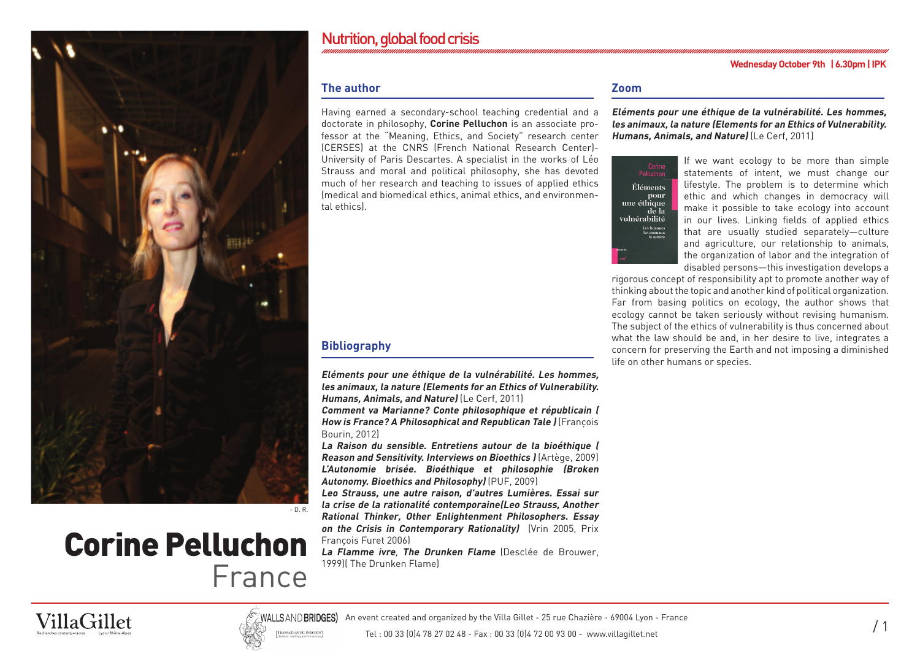

# Corine Pelluchon France

# Nutrition, global food crisis

#### **Wednesday October 9th | 6.30pm | IPK**

# **The author**

Having earned a secondary-school teaching credential and a doctorate in philosophy, **Corine Pelluchon** is an associate professor at the "Meaning, Ethics, and Society" research center (CERSES) at the CNRS (French National Research Center)- University of Paris Descartes. A specialist in the works of Léo Strauss and moral and political philosophy, she has devoted much of her research and teaching to issues of applied ethics (medical and biomedical ethics, animal ethics, and environmental ethics).

# **Bibliography**

**Eléments pour une éthique de la vulnérabilité. Les hommes, les animaux, la nature (Elements for an Ethics of Vulnerability. Humans, Animals, and Nature)** (Le Cerf, 2011)

**Comment va Marianne? Conte philosophique et républicain ( How is France? A Philosophical and Republican Tale )** (François Bourin, 2012)

**La Raison du sensible. Entretiens autour de la bioéthique ( Reason and Sensitivity. Interviews on Bioethics )** (Artège, 2009) **L'Autonomie brisée. Bioéthique et philosophie (Broken Autonomy. Bioethics and Philosophy)** (PUF, 2009)

**Leo Strauss, une autre raison, d'autres Lumières. Essai sur la crise de la rationalité contemporaine(Leo Strauss, Another Rational Thinker, Other Enlightenment Philosophers. Essay on the Crisis in Contemporary Rationality)** (Vrin 2005, Prix François Furet 2006)

**La Flamme ivre**, **The Drunken Flame** (Desclée de Brouwer, 1999)( The Drunken Flame)

# **Zoom**

**Eléments pour une éthique de la vulnérabilité. Les hommes, les animaux, la nature (Elements for an Ethics of Vulnerability. Humans, Animals, and Nature)** (Le Cerf, 2011)



If we want ecology to be more than simple statements of intent, we must change our lifestyle. The problem is to determine which ethic and which changes in democracy will make it possible to take ecology into account in our lives. Linking fields of applied ethics that are usually studied separately—culture and agriculture, our relationship to animals, the organization of labor and the integration of disabled persons—this investigation develops a

rigorous concept of responsibility apt to promote another way of thinking about the topic and another kind of political organization. Far from basing politics on ecology, the author shows that ecology cannot be taken seriously without revising humanism. The subject of the ethics of vulnerability is thus concerned about what the law should be and, in her desire to live, integrates a concern for preserving the Earth and not imposing a diminished life on other humans or species.





WALLSAND **BRIDGES)** An event created and organized by the Villa Gillet - 25 rue Chazière - 69004 Lyon - France<br>N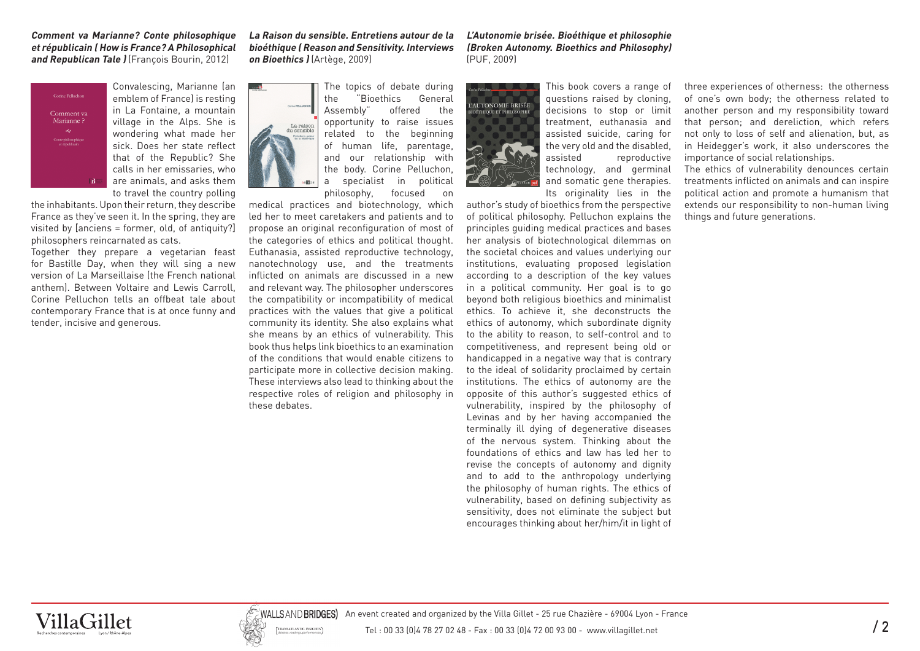#### **Comment va Marianne? Conte philosophique et républicain ( How is France? A Philosophical and Republican Tale )** (François Bourin, 2012)

Corine Pelluchon Comment va<br>Marianne ? Conte philosoph<br>et républicair

Convalescing, Marianne (an emblem of France) is resting in La Fontaine, a mountain village in the Alps. She is wondering what made her sick. Does her state reflect that of the Republic? She calls in her emissaries, who are animals, and asks them to travel the country polling

the inhabitants. Upon their return, they describe France as they've seen it. In the spring, they are visited by [anciens = former, old, of antiquity?] philosophers reincarnated as cats.

Together they prepare a vegetarian feast for Bastille Day, when they will sing a new version of La Marseillaise (the French national anthem). Between Voltaire and Lewis Carroll, Corine Pelluchon tells an offbeat tale about contemporary France that is at once funny and tender, incisive and generous.

**La Raison du sensible. Entretiens autour de la bioéthique ( Reason and Sensitivity. Interviews on Bioethics )** (Artège, 2009)

> The topics of debate during the "Bioethics General Assembly" offered the opportunity to raise issues related to the beginning of human life, parentage, and our relationship with the body. Corine Pelluchon, a specialist in political philosophy, focused on

medical practices and biotechnology, which led her to meet caretakers and patients and to propose an original reconfiguration of most of the categories of ethics and political thought. Euthanasia, assisted reproductive technology, nanotechnology use, and the treatments inflicted on animals are discussed in a new and relevant way. The philosopher underscores the compatibility or incompatibility of medical practices with the values that give a political community its identity. She also explains what she means by an ethics of vulnerability. This book thus helps link bioethics to an examination of the conditions that would enable citizens to participate more in collective decision making. These interviews also lead to thinking about the respective roles of religion and philosophy in these debates.

**L'Autonomie brisée. Bioéthique et philosophie (Broken Autonomy. Bioethics and Philosophy)**  (PUF, 2009)



This book covers a range of questions raised by cloning, decisions to stop or limit treatment, euthanasia and assisted suicide, caring for the very old and the disabled, assisted reproductive technology, and germinal and somatic gene therapies. Its originality lies in the

author's study of bioethics from the perspective of political philosophy. Pelluchon explains the principles guiding medical practices and bases her analysis of biotechnological dilemmas on the societal choices and values underlying our institutions, evaluating proposed legislation according to a description of the key values in a political community. Her goal is to go beyond both religious bioethics and minimalist ethics. To achieve it, she deconstructs the ethics of autonomy, which subordinate dignity to the ability to reason, to self-control and to competitiveness, and represent being old or handicapped in a negative way that is contrary to the ideal of solidarity proclaimed by certain institutions. The ethics of autonomy are the opposite of this author's suggested ethics of vulnerability, inspired by the philosophy of Levinas and by her having accompanied the terminally ill dying of degenerative diseases of the nervous system. Thinking about the foundations of ethics and law has led her to revise the concepts of autonomy and dignity and to add to the anthropology underlying the philosophy of human rights. The ethics of vulnerability, based on defining subjectivity as sensitivity, does not eliminate the subject but encourages thinking about her/him/it in light of

three experiences of otherness: the otherness of one's own body; the otherness related to another person and my responsibility toward that person; and dereliction, which refers not only to loss of self and alienation, but, as in Heidegger's work, it also underscores the importance of social relationships.

The ethics of vulnerability denounces certain treatments inflicted on animals and can inspire political action and promote a humanism that extends our responsibility to non-human living things and future generations.





WALLSAND BRIDGES) An event created and organized by the Villa Gillet - 25 rue Chazière - 69004 Lyon - France